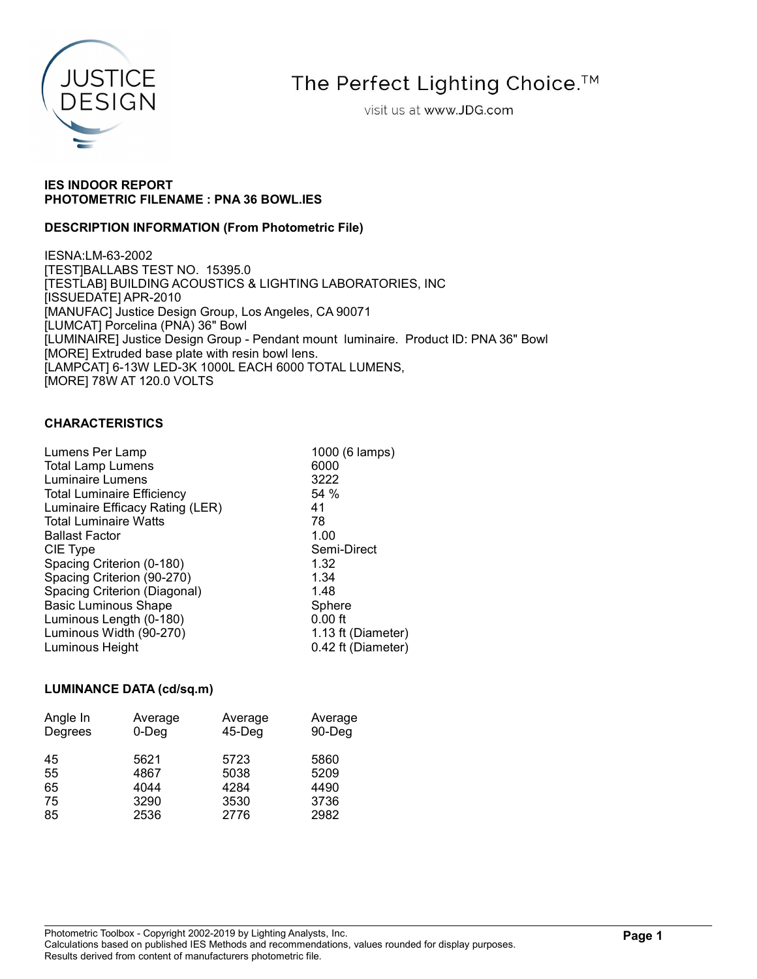

The Perfect Lighting Choice.<sup>™</sup>

visit us at www.JDG.com

# IES INDOOR REPORT PHOTOMETRIC FILENAME : PNA 36 BOWL.IES

# DESCRIPTION INFORMATION (From Photometric File)

IESNA:LM-63-2002 [TEST]BALLABS TEST NO. 15395.0 [TESTLAB] BUILDING ACOUSTICS & LIGHTING LABORATORIES, INC [ISSUEDATE] APR-2010 [MANUFAC] Justice Design Group, Los Angeles, CA 90071 [LUMCAT] Porcelina (PNA) 36" Bowl [LUMINAIRE] Justice Design Group - Pendant mount luminaire. Product ID: PNA 36" Bowl [MORE] Extruded base plate with resin bowl lens. [LAMPCAT] 6-13W LED-3K 1000L EACH 6000 TOTAL LUMENS, [MORE] 78W AT 120.0 VOLTS

# CHARACTERISTICS

| Lumens Per Lamp                   | 1000 (6 lamps)     |
|-----------------------------------|--------------------|
| <b>Total Lamp Lumens</b>          | 6000               |
| Luminaire Lumens                  | 3222               |
| <b>Total Luminaire Efficiency</b> | 54 %               |
| Luminaire Efficacy Rating (LER)   | 41                 |
| <b>Total Luminaire Watts</b>      | 78                 |
| <b>Ballast Factor</b>             | 1.00               |
| CIE Type                          | Semi-Direct        |
| Spacing Criterion (0-180)         | 1.32               |
| Spacing Criterion (90-270)        | 1.34               |
| Spacing Criterion (Diagonal)      | 1.48               |
| <b>Basic Luminous Shape</b>       | Sphere             |
| Luminous Length (0-180)           | $0.00$ ft          |
| Luminous Width (90-270)           | 1.13 ft (Diameter) |
| Luminous Height                   | 0.42 ft (Diameter) |
|                                   |                    |

# LUMINANCE DATA (cd/sq.m)

| Angle In | Average  | Average   | Average |
|----------|----------|-----------|---------|
| Degrees  | $0$ -Deg | $45$ -Deg | 90-Deg  |
| 45       | 5621     | 5723      | 5860    |
| 55       | 4867     | 5038      | 5209    |
| 65       | 4044     | 4284      | 4490    |
| 75       | 3290     | 3530      | 3736    |
| 85       | 2536     | 2776      | 2982    |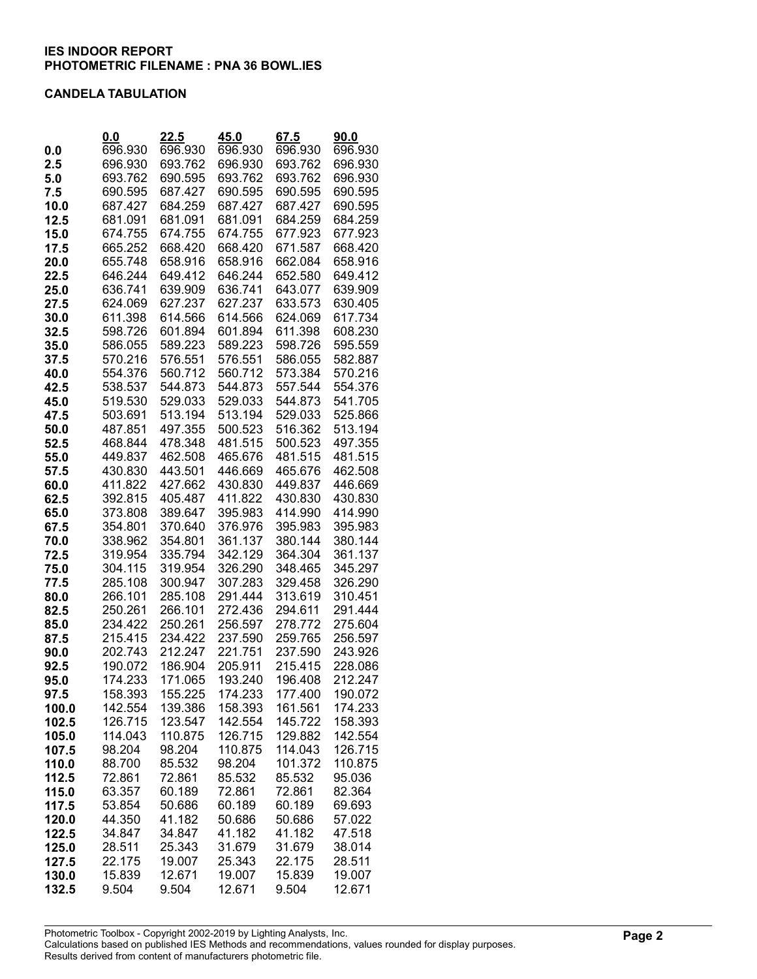#### CANDELA TABULATION

|                | 0.0                | 22.5               | 45.0               | 67.5               | 90.0               |
|----------------|--------------------|--------------------|--------------------|--------------------|--------------------|
| 0.0            | 696.930            | 696.930            | 696.930            | 696.930            | 696.930            |
| 2.5            | 696.930            | 693.762            | 696.930            | 693.762            | 696.930            |
| 5.0            | 693.762            | 690.595            | 693.762            | 693.762            | 696.930            |
| 7.5            | 690.595            | 687.427            | 690.595            | 690.595            | 690.595            |
| 10.0           | 687.427            | 684.259            | 687.427            | 687.427            | 690.595            |
| 12.5           | 681.091            | 681.091            | 681.091            | 684.259            | 684.259            |
| 15.0           | 674.755            | 674.755            | 674.755            | 677.923            | 677.923            |
| 17.5<br>20.0   | 665.252<br>655.748 | 668.420<br>658.916 | 668.420<br>658.916 | 671.587<br>662.084 | 668.420<br>658.916 |
| 22.5           | 646.244            | 649.412            | 646.244            | 652.580            | 649.412            |
| 25.0           | 636.741            | 639.909            | 636.741            | 643.077            | 639.909            |
| 27.5           | 624.069            | 627.237            | 627.237            | 633.573            | 630.405            |
| 30.0           | 611.398            | 614.566            | 614.566            | 624.069            | 617.734            |
| 32.5           | 598.726            | 601.894            | 601.894            | 611.398            | 608.230            |
| 35.0           | 586.055            | 589.223            | 589.223            | 598.726            | 595.559            |
| 37.5           | 570.216            | 576.551            | 576.551            | 586.055            | 582.887            |
| 40.0           | 554.376            | 560.712            | 560.712            | 573.384            | 570.216            |
| 42.5           | 538.537            | 544.873            | 544.873            | 557.544            | 554.376            |
| 45.0           | 519.530            | 529.033            | 529.033            | 544.873            | 541.705            |
| 47.5           | 503.691            | 513.194            | 513.194            | 529.033            | 525.866            |
| 50.0           | 487.851            | 497.355            | 500.523            | 516.362            | 513.194            |
| 52.5           | 468.844            | 478.348            | 481.515            | 500.523            | 497.355            |
| 55.0           | 449.837            | 462.508            | 465.676            | 481.515            | 481.515            |
| 57.5           | 430.830            | 443.501            | 446.669            | 465.676            | 462.508            |
| 60.0           | 411.822            | 427.662            | 430.830            | 449.837            | 446.669            |
| 62.5           | 392.815            | 405.487            | 411.822            | 430.830            | 430.830            |
| 65.0           | 373.808            | 389.647            | 395.983<br>376.976 | 414.990            | 414.990            |
| 67.5<br>70.0   | 354.801<br>338.962 | 370.640<br>354.801 | 361.137            | 395.983<br>380.144 | 395.983<br>380.144 |
| 72.5           | 319.954            | 335.794            | 342.129            | 364.304            | 361.137            |
| 75.0           | 304.115            | 319.954            | 326.290            | 348.465            | 345.297            |
| 77.5           | 285.108            | 300.947            | 307.283            | 329.458            | 326.290            |
| 80.0           | 266.101            | 285.108            | 291.444            | 313.619            | 310.451            |
| 82.5           | 250.261            | 266.101            | 272.436            | 294.611            | 291.444            |
| 85.0           | 234.422            | 250.261            | 256.597            | 278.772            | 275.604            |
| 87.5           | 215.415            | 234.422            | 237.590            | 259.765            | 256.597            |
| 90.0           | 202.743            | 212.247            | 221.751            | 237.590            | 243.926            |
| 92.5           | 190.072            | 186.904            | 205.911            | 215.415            | 228.086            |
| 95.0           | 174.233            | 171.065            | 193.240            | 196.408            | 212.247            |
| 97.5           | 158.393            | 155.225            | 174.233            | 177.400            | 190.072            |
| 100.0          | 142.554            | 139.386            | 158.393            | 161.561            | 174.233            |
| 102.5          | 126.715            | 123.547            | 142.554            | 145.722            | 158.393            |
| 105.0          | 114.043            | 110.875            | 126.715            | 129.882            | 142.554            |
| 107.5<br>110.0 | 98.204<br>88.700   | 98.204<br>85.532   | 110.875<br>98.204  | 114.043<br>101.372 | 126.715<br>110.875 |
| 112.5          | 72.861             | 72.861             | 85.532             | 85.532             | 95.036             |
| 115.0          | 63.357             | 60.189             | 72.861             | 72.861             | 82.364             |
| 117.5          | 53.854             | 50.686             | 60.189             | 60.189             | 69.693             |
| 120.0          | 44.350             | 41.182             | 50.686             | 50.686             | 57.022             |
| 122.5          | 34.847             | 34.847             | 41.182             | 41.182             | 47.518             |
| 125.0          | 28.511             | 25.343             | 31.679             | 31.679             | 38.014             |
| 127.5          | 22.175             | 19.007             | 25.343             | 22.175             | 28.511             |
| 130.0          | 15.839             | 12.671             | 19.007             | 15.839             | 19.007             |
| 132.5          | 9.504              | 9.504              | 12.671             | 9.504              | 12.671             |

Photometric Toolbox - Copyright 2002-2019 by Lighting Analysts, Inc. Calculations based on published IES Methods and recommendations, values rounded for display purposes.

Results derived from content of manufacturers photometric file.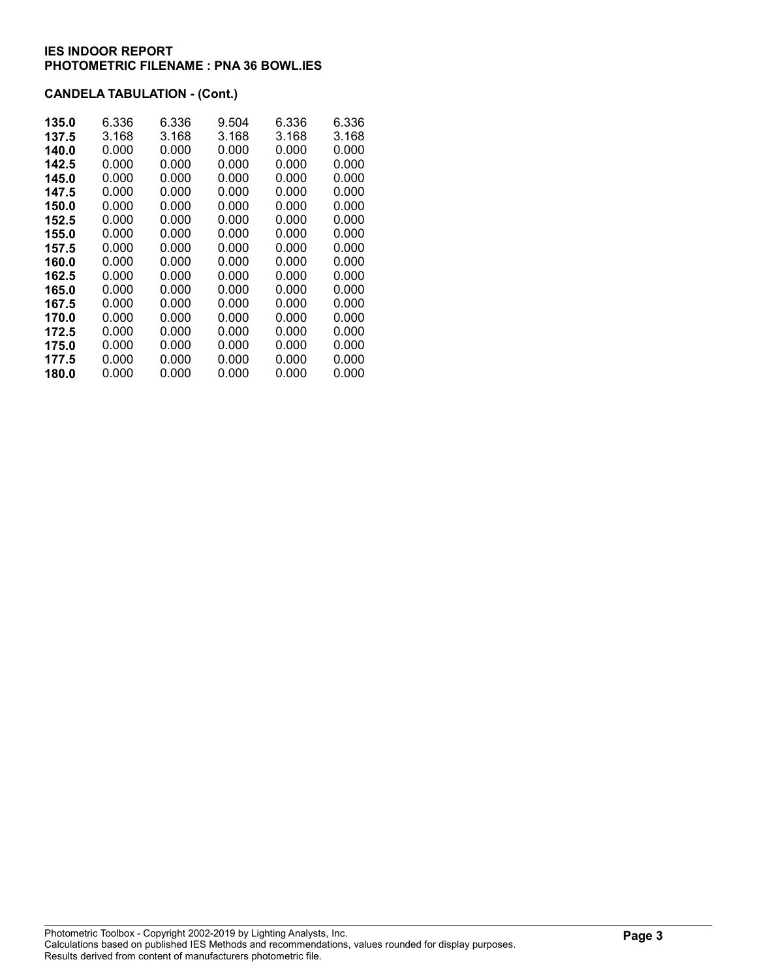# CANDELA TABULATION - (Cont.)

| 135.0 | 6.336 | 6.336 | 9.504 | 6.336 | 6.336 |
|-------|-------|-------|-------|-------|-------|
| 137.5 | 3.168 | 3.168 | 3.168 | 3.168 | 3.168 |
| 140.0 | 0.000 | 0.000 | 0.000 | 0.000 | 0.000 |
| 142.5 | 0.000 | 0.000 | 0.000 | 0.000 | 0.000 |
| 145.0 | 0.000 | 0.000 | 0.000 | 0.000 | 0.000 |
| 147.5 | 0.000 | 0.000 | 0.000 | 0.000 | 0.000 |
| 150.0 | 0.000 | 0.000 | 0.000 | 0.000 | 0.000 |
| 152.5 | 0.000 | 0.000 | 0.000 | 0.000 | 0.000 |
| 155.0 | 0.000 | 0.000 | 0.000 | 0.000 | 0.000 |
| 157.5 | 0.000 | 0.000 | 0.000 | 0.000 | 0.000 |
| 160.0 | 0.000 | 0.000 | 0.000 | 0.000 | 0.000 |
| 162.5 | 0.000 | 0.000 | 0.000 | 0.000 | 0.000 |
| 165.0 | 0.000 | 0.000 | 0.000 | 0.000 | 0.000 |
| 167.5 | 0.000 | 0.000 | 0.000 | 0.000 | 0.000 |
| 170.0 | 0.000 | 0.000 | 0.000 | 0.000 | 0.000 |
| 172.5 | 0.000 | 0.000 | 0.000 | 0.000 | 0.000 |
| 175.0 | 0.000 | 0.000 | 0.000 | 0.000 | 0.000 |
| 177.5 | 0.000 | 0.000 | 0.000 | 0.000 | 0.000 |
| 180.0 | 0.000 | 0.000 | 0.000 | 0.000 | 0.000 |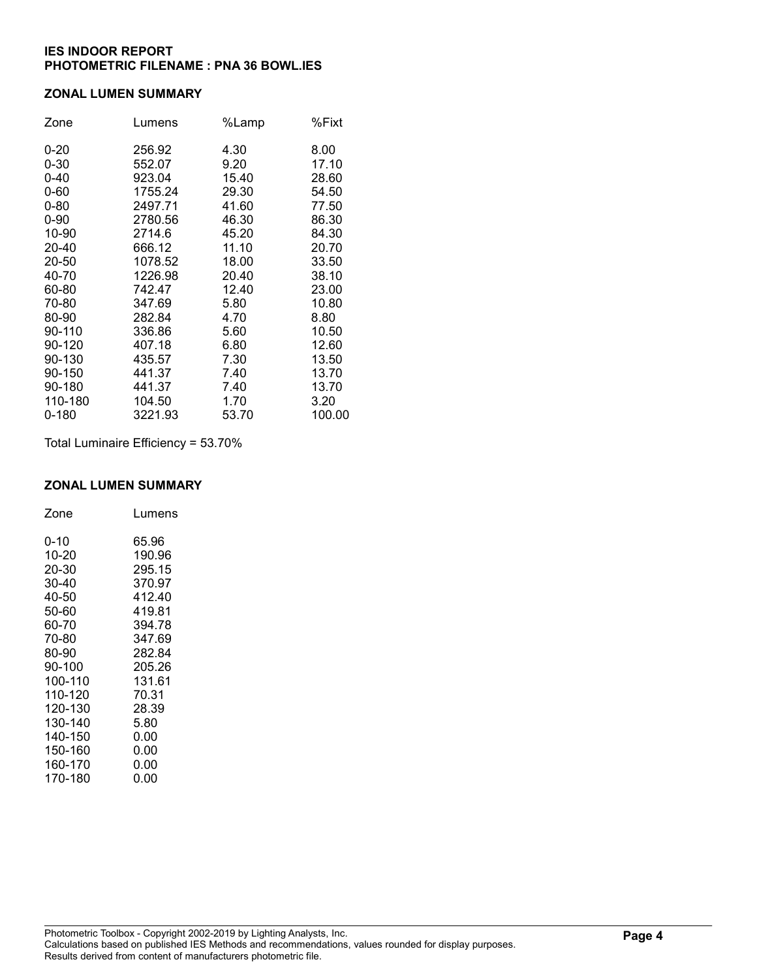#### ZONAL LUMEN SUMMARY

| Zone     | Lumens  | %Lamp | %Fixt  |
|----------|---------|-------|--------|
| $0 - 20$ | 256.92  | 4.30  | 8.00   |
| $0 - 30$ | 552.07  | 9.20  | 17.10  |
| $0 - 40$ | 923.04  | 15.40 | 28.60  |
| $0 - 60$ | 1755.24 | 29.30 | 54.50  |
| $0 - 80$ | 2497.71 | 41.60 | 77.50  |
| $0 - 90$ | 2780.56 | 46.30 | 86.30  |
| 10-90    | 2714.6  | 45.20 | 84.30  |
| 20-40    | 666.12  | 11.10 | 20.70  |
| 20-50    | 1078.52 | 18.00 | 33.50  |
| 40-70    | 1226.98 | 20.40 | 38.10  |
| 60-80    | 742.47  | 12.40 | 23.00  |
| 70-80    | 347.69  | 5.80  | 10.80  |
| 80-90    | 282.84  | 4.70  | 8.80   |
| 90-110   | 336.86  | 5.60  | 10.50  |
| 90-120   | 407.18  | 6.80  | 12.60  |
| 90-130   | 435.57  | 7.30  | 13.50  |
| 90-150   | 441.37  | 7.40  | 13.70  |
| 90-180   | 441.37  | 7.40  | 13.70  |
| 110-180  | 104.50  | 1.70  | 3.20   |
| 0-180    | 3221.93 | 53.70 | 100.00 |

Total Luminaire Efficiency = 53.70%

# ZONAL LUMEN SUMMARY

| Zone    | Lumens |
|---------|--------|
| 0-10    | 65.96  |
| 10-20   | 190.96 |
| 20-30   | 295.15 |
| 30-40   | 370.97 |
| 40-50   | 412.40 |
| 50-60   | 419.81 |
| 60-70   | 394.78 |
| 70-80   | 347.69 |
| 80-90   | 282.84 |
| 90-100  | 205.26 |
| 100-110 | 131.61 |
| 110-120 | 70.31  |
| 120-130 | 28.39  |
| 130-140 | 5.80   |
| 140-150 | 0.00   |
| 150-160 | 0.00   |
| 160-170 | 0.00   |
| 170-180 | 0.00   |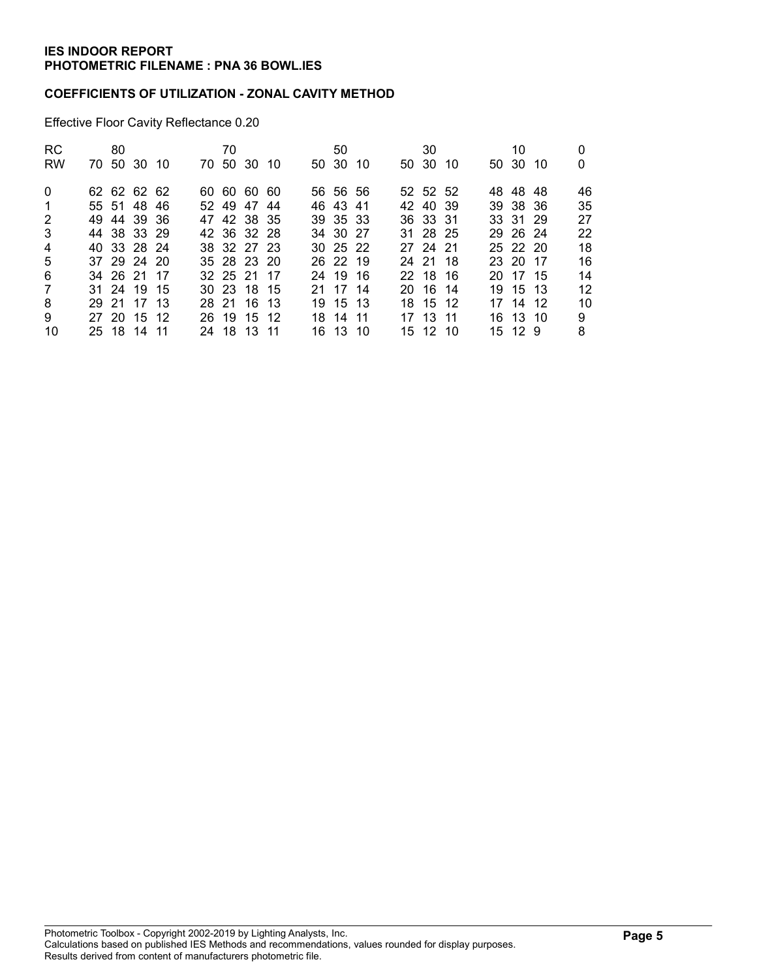### COEFFICIENTS OF UTILIZATION - ZONAL CAVITY METHOD

Effective Floor Cavity Reflectance 0.20

| <b>RC</b>      | 80 |             |  | 70          |  |  | 50       |  | 30       |  | 10       |     |    |
|----------------|----|-------------|--|-------------|--|--|----------|--|----------|--|----------|-----|----|
| <b>RW</b>      |    | 70 50 30 10 |  | 70 50 30 10 |  |  | 50 30 10 |  | 50 30 10 |  | 50 30    | -10 | 0  |
| $\Omega$       |    | 62 62 62 62 |  | 60 60 60 60 |  |  | 56 56 56 |  | 52 52 52 |  | 48 48 48 |     | 46 |
| -1             |    | 55 51 48 46 |  | 52 49 47 44 |  |  | 46 43 41 |  | 42 40 39 |  | 39 38 36 |     | 35 |
| 2              |    | 49 44 39 36 |  | 47 42 38 35 |  |  | 39 35 33 |  | 36 33 31 |  | 33 31 29 |     | 27 |
| $\mathbf{3}$   |    | 44 38 33 29 |  | 42 36 32 28 |  |  | 34 30 27 |  | 31 28 25 |  | 29 26 24 |     | 22 |
| $\overline{4}$ |    | 40 33 28 24 |  | 38 32 27 23 |  |  | 30 25 22 |  | 27 24 21 |  | 25 22 20 |     | 18 |
| 5              |    | 37 29 24 20 |  | 35 28 23 20 |  |  | 26 22 19 |  | 24 21 18 |  | 23 20 17 |     | 16 |
| 6              |    | 34 26 21 17 |  | 32 25 21 17 |  |  | 24 19 16 |  | 22 18 16 |  | 20 17 15 |     | 14 |
| $\overline{7}$ |    | 31 24 19 15 |  | 30 23 18 15 |  |  | 21 17 14 |  | 20 16 14 |  | 19 15 13 |     | 12 |
| 8              |    | 29 21 17 13 |  | 28 21 16 13 |  |  | 19 15 13 |  | 18 15 12 |  | 17 14 12 |     | 10 |
| 9              |    | 27 20 15 12 |  | 26 19 15 12 |  |  | 18 14 11 |  | 17 13 11 |  | 16 13 10 |     | 9  |
| 10             |    | 25 18 14 11 |  | 24 18 13 11 |  |  | 16 13 10 |  | 15 12 10 |  | 15 12 9  |     | 8  |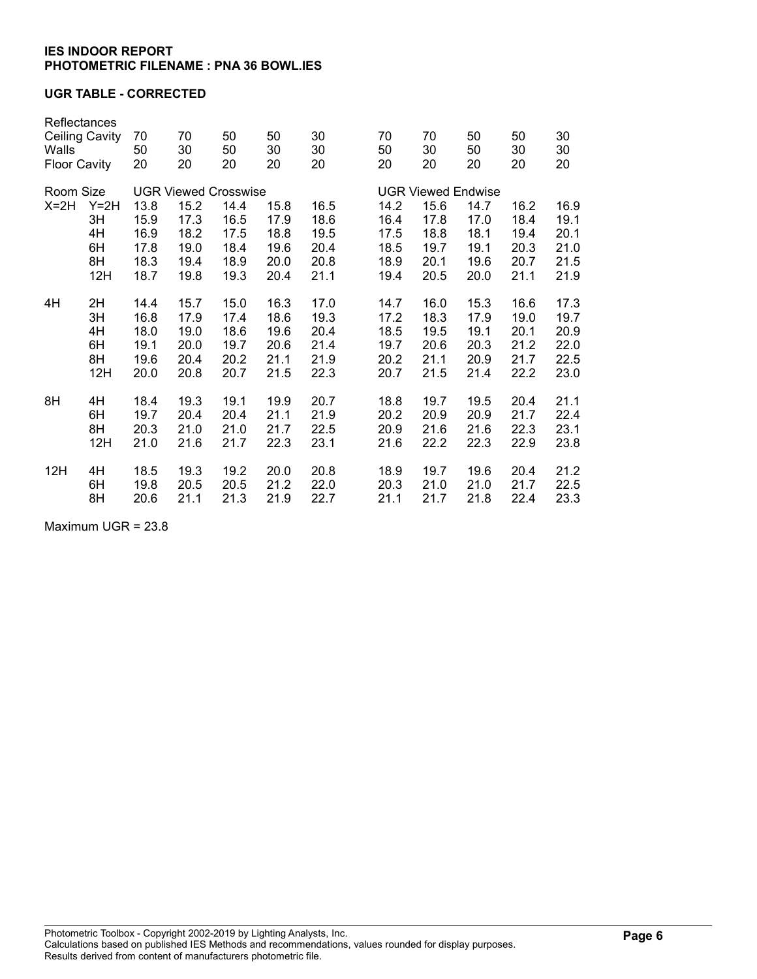### UGR TABLE - CORRECTED

| Walls     | Reflectances<br><b>Ceiling Cavity</b><br><b>Floor Cavity</b> |      | 70<br>30<br>20              | 50<br>50<br>20 | 50<br>30<br>20 | 30<br>30<br>20 | 70<br>50<br>20            |      | 70<br>30<br>20 | 50<br>50<br>20 | 50<br>30<br>20 | 30<br>30<br>20 |  |  |
|-----------|--------------------------------------------------------------|------|-----------------------------|----------------|----------------|----------------|---------------------------|------|----------------|----------------|----------------|----------------|--|--|
| Room Size |                                                              |      | <b>UGR Viewed Crosswise</b> |                |                |                | <b>UGR Viewed Endwise</b> |      |                |                |                |                |  |  |
| $X=2H$    | $Y=2H$                                                       | 13.8 | 15.2                        | 14.4           | 15.8           | 16.5           |                           | 14.2 | 15.6           | 14.7           | 16.2           | 16.9           |  |  |
|           | 3H                                                           | 15.9 | 17.3                        | 16.5           | 17.9           | 18.6           |                           | 16.4 | 17.8           | 17.0           | 18.4           | 19.1           |  |  |
|           | 4H                                                           | 16.9 | 18.2                        | 17.5           | 18.8           | 19.5           |                           | 17.5 | 18.8           | 18.1           | 19.4           | 20.1           |  |  |
|           | 6H                                                           | 17.8 | 19.0                        | 18.4           | 19.6           | 20.4           |                           | 18.5 | 19.7           | 19.1           | 20.3           | 21.0           |  |  |
|           | 8H                                                           | 18.3 | 19.4                        | 18.9           | 20.0           | 20.8           |                           | 18.9 | 20.1           | 19.6           | 20.7           | 21.5           |  |  |
|           | 12H                                                          | 18.7 | 19.8                        | 19.3           | 20.4           | 21.1           |                           | 19.4 | 20.5           | 20.0           | 21.1           | 21.9           |  |  |
| 4H        | 2H                                                           | 14.4 | 15.7                        | 15.0           | 16.3           | 17.0           |                           | 14.7 | 16.0           | 15.3           | 16.6           | 17.3           |  |  |
|           | 3H                                                           | 16.8 | 17.9                        | 17.4           | 18.6           | 19.3           |                           | 17.2 | 18.3           | 17.9           | 19.0           | 19.7           |  |  |
|           | 4H                                                           | 18.0 | 19.0                        | 18.6           | 19.6           | 20.4           |                           | 18.5 | 19.5           | 19.1           | 20.1           | 20.9           |  |  |
|           | 6H                                                           | 19.1 | 20.0                        | 19.7           | 20.6           | 21.4           |                           | 19.7 | 20.6           | 20.3           | 21.2           | 22.0           |  |  |
|           | 8H                                                           | 19.6 | 20.4                        | 20.2           | 21.1           | 21.9           |                           | 20.2 | 21.1           | 20.9           | 21.7           | 22.5           |  |  |
|           | 12H                                                          | 20.0 | 20.8                        | 20.7           | 21.5           | 22.3           |                           | 20.7 | 21.5           | 21.4           | 22.2           | 23.0           |  |  |
| 8H        | 4H                                                           | 18.4 | 19.3                        | 19.1           | 19.9           | 20.7           |                           | 18.8 | 19.7           | 19.5           | 20.4           | 21.1           |  |  |
|           | 6H                                                           | 19.7 | 20.4                        | 20.4           | 21.1           | 21.9           |                           | 20.2 | 20.9           | 20.9           | 21.7           | 22.4           |  |  |
|           | 8H                                                           | 20.3 | 21.0                        | 21.0           | 21.7           | 22.5           |                           | 20.9 | 21.6           | 21.6           | 22.3           | 23.1           |  |  |
|           | 12H                                                          | 21.0 | 21.6                        | 21.7           | 22.3           | 23.1           |                           | 21.6 | 22.2           | 22.3           | 22.9           | 23.8           |  |  |
| 12H       | 4H                                                           | 18.5 | 19.3                        | 19.2           | 20.0           | 20.8           |                           | 18.9 | 19.7           | 19.6           | 20.4           | 21.2           |  |  |
|           | 6H                                                           | 19.8 | 20.5                        | 20.5           | 21.2           | 22.0           |                           | 20.3 | 21.0           | 21.0           | 21.7           | 22.5           |  |  |
|           | 8H                                                           | 20.6 | 21.1                        | 21.3           | 21.9           | 22.7           |                           | 21.1 | 21.7           | 21.8           | 22.4           | 23.3           |  |  |

Maximum UGR = 23.8